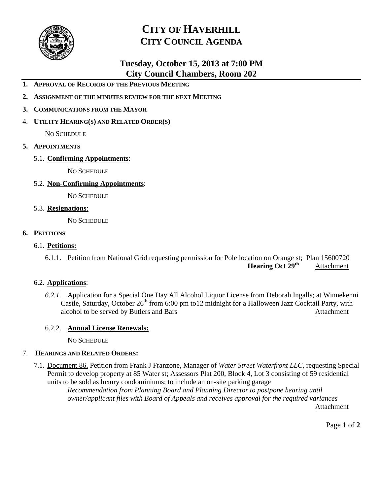

## **CITY OF HAVERHILL CITY COUNCIL AGENDA**

### **Tuesday, October 15, 2013 at 7:00 PM City Council Chambers, Room 202**

- **1. APPROVAL OF RECORDS OF THE PREVIOUS MEETING**
- **2. ASSIGNMENT OF THE MINUTES REVIEW FOR THE NEXT MEETING**
- **3. COMMUNICATIONS FROM THE MAYOR**
- 4. **UTILITY HEARING(S) AND RELATED ORDER(S)**

NO SCHEDULE

- **5. APPOINTMENTS**
	- 5.1. **Confirming Appointments**:

NO SCHEDULE

5.2. **Non-Confirming Appointments**:

NO SCHEDULE

5.3. **Resignations**:

NO SCHEDULE

#### **6. PETITIONS**

#### 6.1. **Petitions:**

6.1.1. Petition from National Grid requesting permission for Pole location on Orange st; Plan 15600720 **Hearing Oct 29th** Attachment

#### 6.2. **Applications**:

*6.2.1.* Application for a Special One Day All Alcohol Liquor License from Deborah Ingalls; at Winnekenni Castle, Saturday, October 26<sup>th</sup> from 6:00 pm to12 midnight for a Halloween Jazz Cocktail Party, with alcohol to be served by Butlers and Bars Attachment

#### 6.2.2. **Annual License Renewals:**

NO SCHEDULE

#### 7. **HEARINGS AND RELATED ORDERS:**

7.1. Document 86, Petition from Frank J Franzone, Manager of *Water Street Waterfront LLC*, requesting Special Permit to develop property at 85 Water st; Assessors Plat 200, Block 4, Lot 3 consisting of 59 residential units to be sold as luxury condominiums; to include an on-site parking garage

*Recommendation from Planning Board and Planning Director to postpone hearing until owner/applicant files with Board of Appeals and receives approval for the required variances* Attachment

Page **1** of **2**